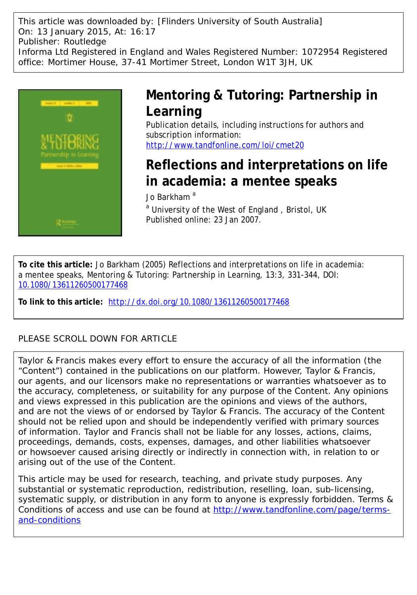This article was downloaded by: [Flinders University of South Australia] On: 13 January 2015, At: 16:17 Publisher: Routledge Informa Ltd Registered in England and Wales Registered Number: 1072954 Registered office: Mortimer House, 37-41 Mortimer Street, London W1T 3JH, UK



# **Mentoring & Tutoring: Partnership in Learning**

Publication details, including instructions for authors and subscription information: <http://www.tandfonline.com/loi/cmet20>

# **Reflections and interpretations on life in academia: a mentee speaks**

Jo Barkham<sup>a</sup> <sup>a</sup> University of the West of England, Bristol, UK Published online: 23 Jan 2007.

**To cite this article:** Jo Barkham (2005) Reflections and interpretations on life in academia: a mentee speaks, Mentoring & Tutoring: Partnership in Learning, 13:3, 331-344, DOI: [10.1080/13611260500177468](http://www.tandfonline.com/action/showCitFormats?doi=10.1080/13611260500177468)

**To link to this article:** <http://dx.doi.org/10.1080/13611260500177468>

## PLEASE SCROLL DOWN FOR ARTICLE

Taylor & Francis makes every effort to ensure the accuracy of all the information (the "Content") contained in the publications on our platform. However, Taylor & Francis, our agents, and our licensors make no representations or warranties whatsoever as to the accuracy, completeness, or suitability for any purpose of the Content. Any opinions and views expressed in this publication are the opinions and views of the authors, and are not the views of or endorsed by Taylor & Francis. The accuracy of the Content should not be relied upon and should be independently verified with primary sources of information. Taylor and Francis shall not be liable for any losses, actions, claims, proceedings, demands, costs, expenses, damages, and other liabilities whatsoever or howsoever caused arising directly or indirectly in connection with, in relation to or arising out of the use of the Content.

This article may be used for research, teaching, and private study purposes. Any substantial or systematic reproduction, redistribution, reselling, loan, sub-licensing, systematic supply, or distribution in any form to anyone is expressly forbidden. Terms & Conditions of access and use can be found at [http://www.tandfonline.com/page/terms](http://www.tandfonline.com/page/terms-and-conditions)[and-conditions](http://www.tandfonline.com/page/terms-and-conditions)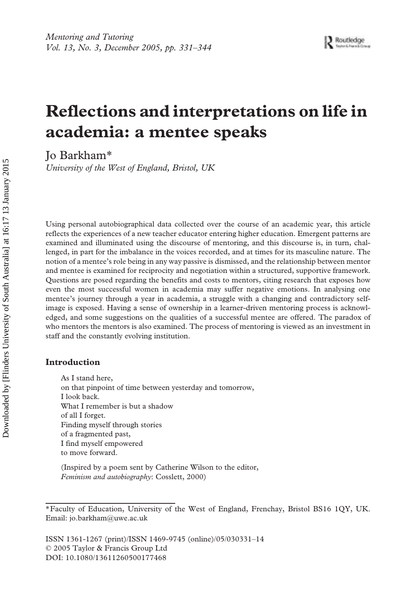# **Reflections and interpretations on life in academia: a mentee speaks**

Jo Barkham\*

*University of the West of England, Bristol, UK*

Using personal autobiographical data collected over the course of an academic year, this article reflects the experiences of a new teacher educator entering higher education. Emergent patterns are examined and illuminated using the discourse of mentoring, and this discourse is, in turn, challenged, in part for the imbalance in the voices recorded, and at times for its masculine nature. The notion of a mentee's role being in any way passive is dismissed, and the relationship between mentor and mentee is examined for reciprocity and negotiation within a structured, supportive framework. Questions are posed regarding the benefits and costs to mentors, citing research that exposes how even the most successful women in academia may suffer negative emotions. In analysing one mentee's journey through a year in academia, a struggle with a changing and contradictory selfimage is exposed. Having a sense of ownership in a learner-driven mentoring process is acknowledged, and some suggestions on the qualities of a successful mentee are offered. The paradox of who mentors the mentors is also examined. The process of mentoring is viewed as an investment in staff and the constantly evolving institution.

## **Introduction**

As I stand here, on that pinpoint of time between yesterday and tomorrow, I look back. What I remember is but a shadow of all I forget. Finding myself through stories of a fragmented past, I find myself empowered to move forward.

(Inspired by a poem sent by Catherine Wilson to the editor, *Feminism and autobiography*: Cosslett, 2000)

ISSN 1361-1267 (print)/ISSN 1469-9745 (online)/05/030331–14 © 2005 Taylor & Francis Group Ltd DOI: 10.1080/13611260500177468

<sup>\*</sup>Faculty of Education, University of the West of England, Frenchay, Bristol BS16 1QY, UK. Email: jo.barkham@uwe.ac.uk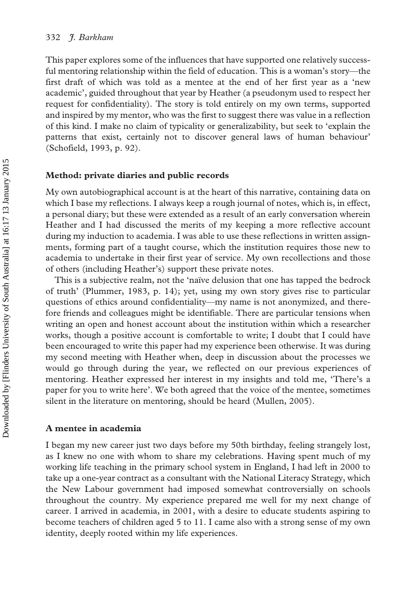This paper explores some of the influences that have supported one relatively successful mentoring relationship within the field of education. This is a woman's story—the first draft of which was told as a mentee at the end of her first year as a 'new academic', guided throughout that year by Heather (a pseudonym used to respect her request for confidentiality). The story is told entirely on my own terms, supported and inspired by my mentor, who was the first to suggest there was value in a reflection of this kind. I make no claim of typicality or generalizability, but seek to 'explain the patterns that exist, certainly not to discover general laws of human behaviour' (Schofield, 1993, p. 92).

#### **Method: private diaries and public records**

My own autobiographical account is at the heart of this narrative, containing data on which I base my reflections. I always keep a rough journal of notes, which is, in effect, a personal diary; but these were extended as a result of an early conversation wherein Heather and I had discussed the merits of my keeping a more reflective account during my induction to academia. I was able to use these reflections in written assignments, forming part of a taught course, which the institution requires those new to academia to undertake in their first year of service. My own recollections and those of others (including Heather's) support these private notes.

This is a subjective realm, not the 'naïve delusion that one has tapped the bedrock of truth' (Plummer, 1983, p. 14); yet, using my own story gives rise to particular questions of ethics around confidentiality—my name is not anonymized, and therefore friends and colleagues might be identifiable. There are particular tensions when writing an open and honest account about the institution within which a researcher works, though a positive account is comfortable to write; I doubt that I could have been encouraged to write this paper had my experience been otherwise. It was during my second meeting with Heather when, deep in discussion about the processes we would go through during the year, we reflected on our previous experiences of mentoring. Heather expressed her interest in my insights and told me, 'There's a paper for you to write here'. We both agreed that the voice of the mentee, sometimes silent in the literature on mentoring, should be heard (Mullen, 2005).

#### **A mentee in academia**

I began my new career just two days before my 50th birthday, feeling strangely lost, as I knew no one with whom to share my celebrations. Having spent much of my working life teaching in the primary school system in England, I had left in 2000 to take up a one-year contract as a consultant with the National Literacy Strategy, which the New Labour government had imposed somewhat controversially on schools throughout the country. My experience prepared me well for my next change of career. I arrived in academia, in 2001, with a desire to educate students aspiring to become teachers of children aged 5 to 11. I came also with a strong sense of my own identity, deeply rooted within my life experiences.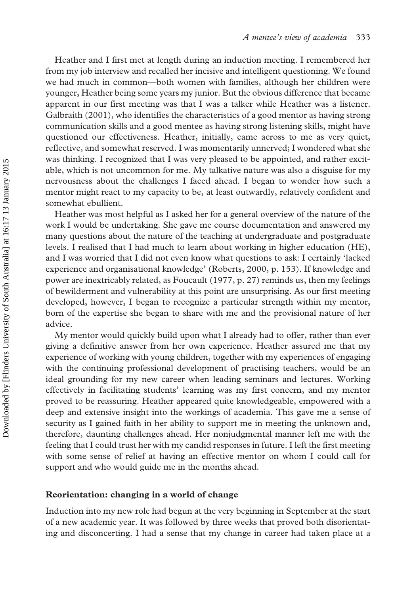Heather and I first met at length during an induction meeting. I remembered her from my job interview and recalled her incisive and intelligent questioning. We found we had much in common—both women with families, although her children were younger, Heather being some years my junior. But the obvious difference that became apparent in our first meeting was that I was a talker while Heather was a listener. Galbraith (2001), who identifies the characteristics of a good mentor as having strong communication skills and a good mentee as having strong listening skills, might have questioned our effectiveness. Heather, initially, came across to me as very quiet, reflective, and somewhat reserved. I was momentarily unnerved; I wondered what she was thinking. I recognized that I was very pleased to be appointed, and rather excitable, which is not uncommon for me. My talkative nature was also a disguise for my nervousness about the challenges I faced ahead. I began to wonder how such a mentor might react to my capacity to be, at least outwardly, relatively confident and somewhat ebullient.

Heather was most helpful as I asked her for a general overview of the nature of the work I would be undertaking. She gave me course documentation and answered my many questions about the nature of the teaching at undergraduate and postgraduate levels. I realised that I had much to learn about working in higher education (HE), and I was worried that I did not even know what questions to ask: I certainly 'lacked experience and organisational knowledge' (Roberts, 2000, p. 153). If knowledge and power are inextricably related, as Foucault (1977, p. 27) reminds us, then my feelings of bewilderment and vulnerability at this point are unsurprising. As our first meeting developed, however, I began to recognize a particular strength within my mentor, born of the expertise she began to share with me and the provisional nature of her advice.

My mentor would quickly build upon what I already had to offer, rather than ever giving a definitive answer from her own experience. Heather assured me that my experience of working with young children, together with my experiences of engaging with the continuing professional development of practising teachers, would be an ideal grounding for my new career when leading seminars and lectures. Working effectively in facilitating students' learning was my first concern, and my mentor proved to be reassuring. Heather appeared quite knowledgeable, empowered with a deep and extensive insight into the workings of academia. This gave me a sense of security as I gained faith in her ability to support me in meeting the unknown and, therefore, daunting challenges ahead. Her nonjudgmental manner left me with the feeling that I could trust her with my candid responses in future. I left the first meeting with some sense of relief at having an effective mentor on whom I could call for support and who would guide me in the months ahead.

#### **Reorientation: changing in a world of change**

Induction into my new role had begun at the very beginning in September at the start of a new academic year. It was followed by three weeks that proved both disorientating and disconcerting. I had a sense that my change in career had taken place at a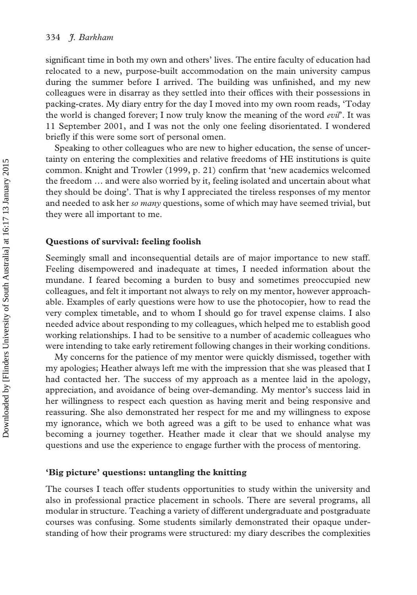significant time in both my own and others' lives. The entire faculty of education had relocated to a new, purpose-built accommodation on the main university campus during the summer before I arrived. The building was unfinished, and my new colleagues were in disarray as they settled into their offices with their possessions in packing-crates. My diary entry for the day I moved into my own room reads, 'Today the world is changed forever; I now truly know the meaning of the word *evil*'. It was 11 September 2001, and I was not the only one feeling disorientated. I wondered briefly if this were some sort of personal omen.

Speaking to other colleagues who are new to higher education, the sense of uncertainty on entering the complexities and relative freedoms of HE institutions is quite common. Knight and Trowler (1999, p. 21) confirm that 'new academics welcomed the freedom … and were also worried by it, feeling isolated and uncertain about what they should be doing'. That is why I appreciated the tireless responses of my mentor and needed to ask her *so many* questions, some of which may have seemed trivial, but they were all important to me.

#### **Questions of survival: feeling foolish**

Seemingly small and inconsequential details are of major importance to new staff. Feeling disempowered and inadequate at times, I needed information about the mundane. I feared becoming a burden to busy and sometimes preoccupied new colleagues, and felt it important not always to rely on my mentor, however approachable. Examples of early questions were how to use the photocopier, how to read the very complex timetable, and to whom I should go for travel expense claims. I also needed advice about responding to my colleagues, which helped me to establish good working relationships. I had to be sensitive to a number of academic colleagues who were intending to take early retirement following changes in their working conditions.

My concerns for the patience of my mentor were quickly dismissed, together with my apologies; Heather always left me with the impression that she was pleased that I had contacted her. The success of my approach as a mentee laid in the apology, appreciation, and avoidance of being over-demanding. My mentor's success laid in her willingness to respect each question as having merit and being responsive and reassuring. She also demonstrated her respect for me and my willingness to expose my ignorance, which we both agreed was a gift to be used to enhance what was becoming a journey together. Heather made it clear that we should analyse my questions and use the experience to engage further with the process of mentoring.

#### **'Big picture' questions: untangling the knitting**

The courses I teach offer students opportunities to study within the university and also in professional practice placement in schools. There are several programs, all modular in structure. Teaching a variety of different undergraduate and postgraduate courses was confusing. Some students similarly demonstrated their opaque understanding of how their programs were structured: my diary describes the complexities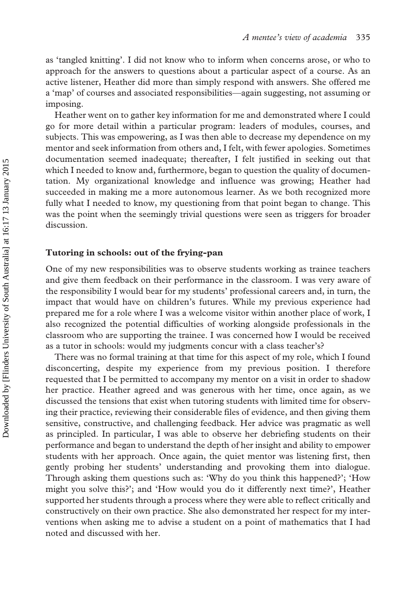as 'tangled knitting'. I did not know who to inform when concerns arose, or who to approach for the answers to questions about a particular aspect of a course. As an active listener, Heather did more than simply respond with answers. She offered me a 'map' of courses and associated responsibilities—again suggesting, not assuming or imposing.

Heather went on to gather key information for me and demonstrated where I could go for more detail within a particular program: leaders of modules, courses, and subjects. This was empowering, as I was then able to decrease my dependence on my mentor and seek information from others and, I felt, with fewer apologies. Sometimes documentation seemed inadequate; thereafter, I felt justified in seeking out that which I needed to know and, furthermore, began to question the quality of documentation. My organizational knowledge and influence was growing; Heather had succeeded in making me a more autonomous learner. As we both recognized more fully what I needed to know, my questioning from that point began to change. This was the point when the seemingly trivial questions were seen as triggers for broader discussion.

#### **Tutoring in schools: out of the frying-pan**

One of my new responsibilities was to observe students working as trainee teachers and give them feedback on their performance in the classroom. I was very aware of the responsibility I would bear for my students' professional careers and, in turn, the impact that would have on children's futures. While my previous experience had prepared me for a role where I was a welcome visitor within another place of work, I also recognized the potential difficulties of working alongside professionals in the classroom who are supporting the trainee. I was concerned how I would be received as a tutor in schools: would my judgments concur with a class teacher's?

There was no formal training at that time for this aspect of my role, which I found disconcerting, despite my experience from my previous position. I therefore requested that I be permitted to accompany my mentor on a visit in order to shadow her practice. Heather agreed and was generous with her time, once again, as we discussed the tensions that exist when tutoring students with limited time for observing their practice, reviewing their considerable files of evidence, and then giving them sensitive, constructive, and challenging feedback. Her advice was pragmatic as well as principled. In particular, I was able to observe her debriefing students on their performance and began to understand the depth of her insight and ability to empower students with her approach. Once again, the quiet mentor was listening first, then gently probing her students' understanding and provoking them into dialogue. Through asking them questions such as: 'Why do you think this happened?'; 'How might you solve this?'; and 'How would you do it differently next time?', Heather supported her students through a process where they were able to reflect critically and constructively on their own practice. She also demonstrated her respect for my interventions when asking me to advise a student on a point of mathematics that I had noted and discussed with her.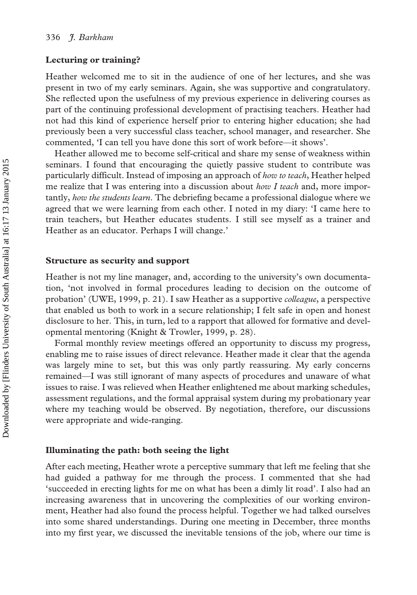#### **Lecturing or training?**

Heather welcomed me to sit in the audience of one of her lectures, and she was present in two of my early seminars. Again, she was supportive and congratulatory. She reflected upon the usefulness of my previous experience in delivering courses as part of the continuing professional development of practising teachers. Heather had not had this kind of experience herself prior to entering higher education; she had previously been a very successful class teacher, school manager, and researcher. She commented, 'I can tell you have done this sort of work before—it shows'.

Heather allowed me to become self-critical and share my sense of weakness within seminars. I found that encouraging the quietly passive student to contribute was particularly difficult. Instead of imposing an approach of *how to teach*, Heather helped me realize that I was entering into a discussion about *how I teach* and, more importantly, *how the students learn*. The debriefing became a professional dialogue where we agreed that we were learning from each other. I noted in my diary: 'I came here to train teachers, but Heather educates students. I still see myself as a trainer and Heather as an educator. Perhaps I will change.'

#### **Structure as security and support**

Heather is not my line manager, and, according to the university's own documentation, 'not involved in formal procedures leading to decision on the outcome of probation' (UWE, 1999, p. 21). I saw Heather as a supportive *colleague*, a perspective that enabled us both to work in a secure relationship; I felt safe in open and honest disclosure to her. This, in turn, led to a rapport that allowed for formative and developmental mentoring (Knight & Trowler, 1999, p. 28).

Formal monthly review meetings offered an opportunity to discuss my progress, enabling me to raise issues of direct relevance. Heather made it clear that the agenda was largely mine to set, but this was only partly reassuring. My early concerns remained—I was still ignorant of many aspects of procedures and unaware of what issues to raise. I was relieved when Heather enlightened me about marking schedules, assessment regulations, and the formal appraisal system during my probationary year where my teaching would be observed. By negotiation, therefore, our discussions were appropriate and wide-ranging.

#### **Illuminating the path: both seeing the light**

After each meeting, Heather wrote a perceptive summary that left me feeling that she had guided a pathway for me through the process. I commented that she had 'succeeded in erecting lights for me on what has been a dimly lit road'. I also had an increasing awareness that in uncovering the complexities of our working environment, Heather had also found the process helpful. Together we had talked ourselves into some shared understandings. During one meeting in December, three months into my first year, we discussed the inevitable tensions of the job, where our time is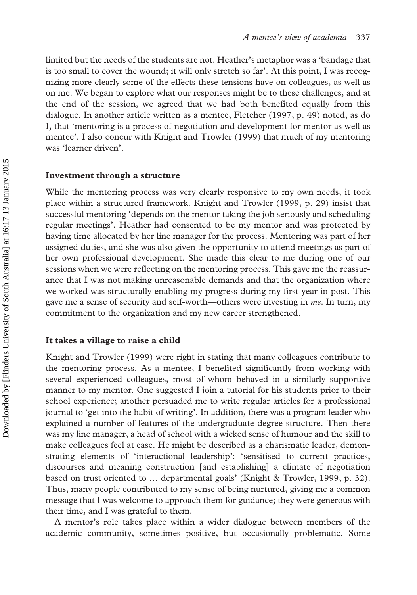limited but the needs of the students are not. Heather's metaphor was a 'bandage that is too small to cover the wound; it will only stretch so far'. At this point, I was recognizing more clearly some of the effects these tensions have on colleagues, as well as on me. We began to explore what our responses might be to these challenges, and at the end of the session, we agreed that we had both benefited equally from this dialogue. In another article written as a mentee, Fletcher (1997, p. 49) noted, as do I, that 'mentoring is a process of negotiation and development for mentor as well as mentee'. I also concur with Knight and Trowler (1999) that much of my mentoring was 'learner driven'.

#### **Investment through a structure**

While the mentoring process was very clearly responsive to my own needs, it took place within a structured framework. Knight and Trowler (1999, p. 29) insist that successful mentoring 'depends on the mentor taking the job seriously and scheduling regular meetings'. Heather had consented to be my mentor and was protected by having time allocated by her line manager for the process. Mentoring was part of her assigned duties, and she was also given the opportunity to attend meetings as part of her own professional development. She made this clear to me during one of our sessions when we were reflecting on the mentoring process. This gave me the reassurance that I was not making unreasonable demands and that the organization where we worked was structurally enabling my progress during my first year in post. This gave me a sense of security and self-worth—others were investing in *me*. In turn, my commitment to the organization and my new career strengthened.

#### **It takes a village to raise a child**

Knight and Trowler (1999) were right in stating that many colleagues contribute to the mentoring process. As a mentee, I benefited significantly from working with several experienced colleagues, most of whom behaved in a similarly supportive manner to my mentor. One suggested I join a tutorial for his students prior to their school experience; another persuaded me to write regular articles for a professional journal to 'get into the habit of writing'. In addition, there was a program leader who explained a number of features of the undergraduate degree structure. Then there was my line manager, a head of school with a wicked sense of humour and the skill to make colleagues feel at ease. He might be described as a charismatic leader, demonstrating elements of 'interactional leadership': 'sensitised to current practices, discourses and meaning construction [and establishing] a climate of negotiation based on trust oriented to … departmental goals' (Knight & Trowler, 1999, p. 32). Thus, many people contributed to my sense of being nurtured, giving me a common message that I was welcome to approach them for guidance; they were generous with their time, and I was grateful to them.

A mentor's role takes place within a wider dialogue between members of the academic community, sometimes positive, but occasionally problematic. Some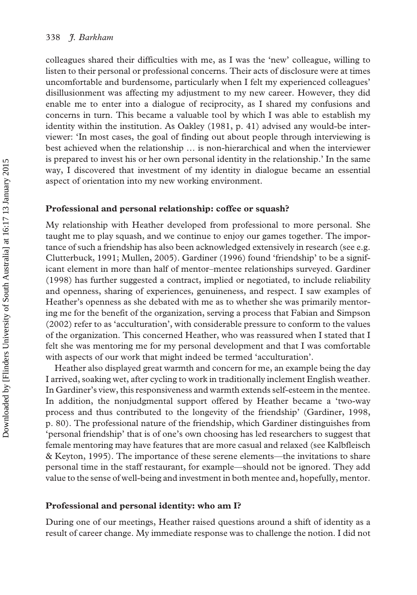colleagues shared their difficulties with me, as I was the 'new' colleague, willing to listen to their personal or professional concerns. Their acts of disclosure were at times uncomfortable and burdensome, particularly when I felt my experienced colleagues' disillusionment was affecting my adjustment to my new career. However, they did enable me to enter into a dialogue of reciprocity, as I shared my confusions and concerns in turn. This became a valuable tool by which I was able to establish my identity within the institution. As Oakley (1981, p. 41) advised any would-be interviewer: 'In most cases, the goal of finding out about people through interviewing is best achieved when the relationship … is non-hierarchical and when the interviewer is prepared to invest his or her own personal identity in the relationship.' In the same way, I discovered that investment of my identity in dialogue became an essential aspect of orientation into my new working environment.

#### **Professional and personal relationship: coffee or squash?**

My relationship with Heather developed from professional to more personal. She taught me to play squash, and we continue to enjoy our games together. The importance of such a friendship has also been acknowledged extensively in research (see e.g. Clutterbuck, 1991; Mullen, 2005). Gardiner (1996) found 'friendship' to be a significant element in more than half of mentor–mentee relationships surveyed. Gardiner (1998) has further suggested a contract, implied or negotiated, to include reliability and openness, sharing of experiences, genuineness, and respect. I saw examples of Heather's openness as she debated with me as to whether she was primarily mentoring me for the benefit of the organization, serving a process that Fabian and Simpson (2002) refer to as 'acculturation', with considerable pressure to conform to the values of the organization. This concerned Heather, who was reassured when I stated that I felt she was mentoring me for my personal development and that I was comfortable with aspects of our work that might indeed be termed 'acculturation'.

Heather also displayed great warmth and concern for me, an example being the day I arrived, soaking wet, after cycling to work in traditionally inclement English weather. In Gardiner's view, this responsiveness and warmth extends self-esteem in the mentee. In addition, the nonjudgmental support offered by Heather became a 'two-way process and thus contributed to the longevity of the friendship' (Gardiner, 1998, p. 80). The professional nature of the friendship, which Gardiner distinguishes from 'personal friendship' that is of one's own choosing has led researchers to suggest that female mentoring may have features that are more casual and relaxed (see Kalbfleisch & Keyton, 1995). The importance of these serene elements—the invitations to share personal time in the staff restaurant, for example—should not be ignored. They add value to the sense of well-being and investment in both mentee and, hopefully, mentor.

#### **Professional and personal identity: who am I?**

During one of our meetings, Heather raised questions around a shift of identity as a result of career change. My immediate response was to challenge the notion. I did not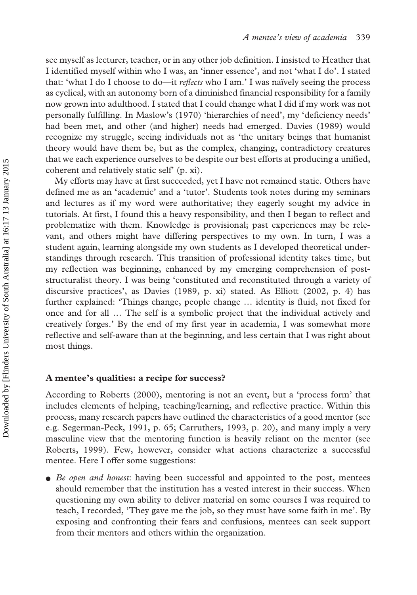see myself as lecturer, teacher, or in any other job definition. I insisted to Heather that I identified myself within who I was, an 'inner essence', and not 'what I do'. I stated that: 'what I do I choose to do—it *reflects* who I am.' I was naïvely seeing the process as cyclical, with an autonomy born of a diminished financial responsibility for a family now grown into adulthood. I stated that I could change what I did if my work was not personally fulfilling. In Maslow's (1970) 'hierarchies of need', my 'deficiency needs' had been met, and other (and higher) needs had emerged. Davies (1989) would recognize my struggle, seeing individuals not as 'the unitary beings that humanist theory would have them be, but as the complex, changing, contradictory creatures that we each experience ourselves to be despite our best efforts at producing a unified, coherent and relatively static self' (p. xi).

My efforts may have at first succeeded, yet I have not remained static. Others have defined me as an 'academic' and a 'tutor'. Students took notes during my seminars and lectures as if my word were authoritative; they eagerly sought my advice in tutorials. At first, I found this a heavy responsibility, and then I began to reflect and problematize with them. Knowledge is provisional; past experiences may be relevant, and others might have differing perspectives to my own. In turn, I was a student again, learning alongside my own students as I developed theoretical understandings through research. This transition of professional identity takes time, but my reflection was beginning, enhanced by my emerging comprehension of poststructuralist theory. I was being 'constituted and reconstituted through a variety of discursive practices', as Davies (1989, p. xi) stated. As Elliott (2002, p. 4) has further explained: 'Things change, people change … identity is fluid, not fixed for once and for all … The self is a symbolic project that the individual actively and creatively forges.' By the end of my first year in academia, I was somewhat more reflective and self-aware than at the beginning, and less certain that I was right about most things.

#### **A mentee's qualities: a recipe for success?**

According to Roberts (2000), mentoring is not an event, but a 'process form' that includes elements of helping, teaching/learning, and reflective practice. Within this process, many research papers have outlined the characteristics of a good mentor (see e.g. Segerman-Peck, 1991, p. 65; Carruthers, 1993, p. 20), and many imply a very masculine view that the mentoring function is heavily reliant on the mentor (see Roberts, 1999). Few, however, consider what actions characterize a successful mentee. Here I offer some suggestions:

● *Be open and honest*: having been successful and appointed to the post, mentees should remember that the institution has a vested interest in their success. When questioning my own ability to deliver material on some courses I was required to teach, I recorded, 'They gave me the job, so they must have some faith in me'. By exposing and confronting their fears and confusions, mentees can seek support from their mentors and others within the organization.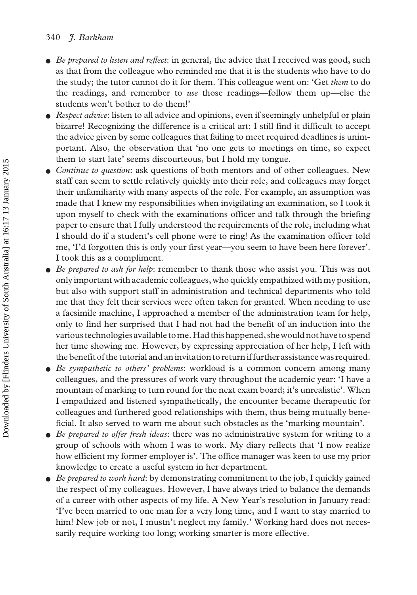### 340 *J. Barkham*

- *Be prepared to listen and reflect*: in general, the advice that I received was good, such as that from the colleague who reminded me that it is the students who have to do the study; the tutor cannot do it for them. This colleague went on: 'Get *them* to do the readings, and remember to *use* those readings—follow them up—else the students won't bother to do them!'
- *Respect advice*: listen to all advice and opinions, even if seemingly unhelpful or plain bizarre! Recognizing the difference is a critical art: I still find it difficult to accept the advice given by some colleagues that failing to meet required deadlines is unimportant. Also, the observation that 'no one gets to meetings on time, so expect them to start late' seems discourteous, but I hold my tongue.
- *Continue to question*: ask questions of both mentors and of other colleagues. New staff can seem to settle relatively quickly into their role, and colleagues may forget their unfamiliarity with many aspects of the role. For example, an assumption was made that I knew my responsibilities when invigilating an examination, so I took it upon myself to check with the examinations officer and talk through the briefing paper to ensure that I fully understood the requirements of the role, including what I should do if a student's cell phone were to ring! As the examination officer told me, 'I'd forgotten this is only your first year—you seem to have been here forever'. I took this as a compliment.
- *Be prepared to ask for help*: remember to thank those who assist you. This was not only important with academic colleagues, who quickly empathized with my position, but also with support staff in administration and technical departments who told me that they felt their services were often taken for granted. When needing to use a facsimile machine, I approached a member of the administration team for help, only to find her surprised that I had not had the benefit of an induction into the various technologies available to me. Had this happened, she would not have to spend her time showing me. However, by expressing appreciation of her help, I left with the benefit of the tutorial and an invitation to return if further assistance was required.
- *Be sympathetic to others' problems*: workload is a common concern among many colleagues, and the pressures of work vary throughout the academic year: 'I have a mountain of marking to turn round for the next exam board; it's unrealistic'. When I empathized and listened sympathetically, the encounter became therapeutic for colleagues and furthered good relationships with them, thus being mutually beneficial. It also served to warn me about such obstacles as the 'marking mountain'.
- *Be prepared to offer fresh ideas*: there was no administrative system for writing to a group of schools with whom I was to work. My diary reflects that 'I now realize how efficient my former employer is'. The office manager was keen to use my prior knowledge to create a useful system in her department.
- *Be prepared to work hard*: by demonstrating commitment to the job, I quickly gained the respect of my colleagues. However, I have always tried to balance the demands of a career with other aspects of my life. A New Year's resolution in January read: 'I've been married to one man for a very long time, and I want to stay married to him! New job or not, I mustn't neglect my family.' Working hard does not necessarily require working too long; working smarter is more effective.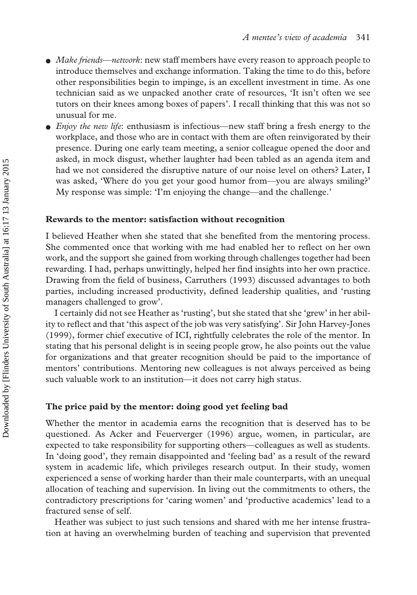- *Make friends—network*: new staff members have every reason to approach people to introduce themselves and exchange information. Taking the time to do this, before other responsibilities begin to impinge, is an excellent investment in time. As one technician said as we unpacked another crate of resources, 'It isn't often we see tutors on their knees among boxes of papers'. I recall thinking that this was not so unusual for me.
- *Enjoy the new life*: enthusiasm is infectious—new staff bring a fresh energy to the workplace, and those who are in contact with them are often reinvigorated by their presence. During one early team meeting, a senior colleague opened the door and asked, in mock disgust, whether laughter had been tabled as an agenda item and had we not considered the disruptive nature of our noise level on others? Later, I was asked, 'Where do you get your good humor from—you are always smiling?' My response was simple: 'I'm enjoying the change—and the challenge.'

#### **Rewards to the mentor: satisfaction without recognition**

I believed Heather when she stated that she benefited from the mentoring process. She commented once that working with me had enabled her to reflect on her own work, and the support she gained from working through challenges together had been rewarding. I had, perhaps unwittingly, helped her find insights into her own practice. Drawing from the field of business, Carruthers (1993) discussed advantages to both parties, including increased productivity, defined leadership qualities, and 'rusting managers challenged to grow'.

I certainly did not see Heather as 'rusting', but she stated that she 'grew' in her ability to reflect and that 'this aspect of the job was very satisfying'. Sir John Harvey-Jones (1999), former chief executive of ICI, rightfully celebrates the role of the mentor. In stating that his personal delight is in seeing people grow, he also points out the value for organizations and that greater recognition should be paid to the importance of mentors' contributions. Mentoring new colleagues is not always perceived as being such valuable work to an institution—it does not carry high status.

#### **The price paid by the mentor: doing good yet feeling bad**

Whether the mentor in academia earns the recognition that is deserved has to be questioned. As Acker and Feuerverger (1996) argue, women, in particular, are expected to take responsibility for supporting others—colleagues as well as students. In 'doing good', they remain disappointed and 'feeling bad' as a result of the reward system in academic life, which privileges research output. In their study, women experienced a sense of working harder than their male counterparts, with an unequal allocation of teaching and supervision. In living out the commitments to others, the contradictory prescriptions for 'caring women' and 'productive academics' lead to a fractured sense of self.

Heather was subject to just such tensions and shared with me her intense frustration at having an overwhelming burden of teaching and supervision that prevented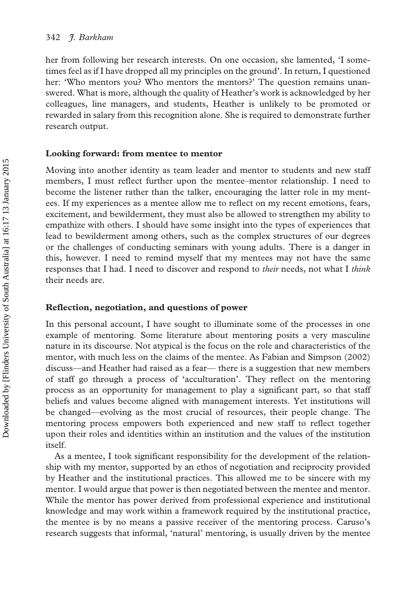her from following her research interests. On one occasion, she lamented, 'I sometimes feel as if I have dropped all my principles on the ground'. In return, I questioned her: 'Who mentors you? Who mentors the mentors?' The question remains unanswered. What is more, although the quality of Heather's work is acknowledged by her colleagues, line managers, and students, Heather is unlikely to be promoted or rewarded in salary from this recognition alone. She is required to demonstrate further research output.

#### **Looking forward: from mentee to mentor**

Moving into another identity as team leader and mentor to students and new staff members, I must reflect further upon the mentee–mentor relationship. I need to become the listener rather than the talker, encouraging the latter role in my mentees. If my experiences as a mentee allow me to reflect on my recent emotions, fears, excitement, and bewilderment, they must also be allowed to strengthen my ability to empathize with others. I should have some insight into the types of experiences that lead to bewilderment among others, such as the complex structures of our degrees or the challenges of conducting seminars with young adults. There is a danger in this, however. I need to remind myself that my mentees may not have the same responses that I had. I need to discover and respond to *their* needs, not what I *think* their needs are.

#### **Reflection, negotiation, and questions of power**

In this personal account, I have sought to illuminate some of the processes in one example of mentoring. Some literature about mentoring posits a very masculine nature in its discourse. Not atypical is the focus on the role and characteristics of the mentor, with much less on the claims of the mentee. As Fabian and Simpson (2002) discuss—and Heather had raised as a fear— there is a suggestion that new members of staff go through a process of 'acculturation'. They reflect on the mentoring process as an opportunity for management to play a significant part, so that staff beliefs and values become aligned with management interests. Yet institutions will be changed—evolving as the most crucial of resources, their people change. The mentoring process empowers both experienced and new staff to reflect together upon their roles and identities within an institution and the values of the institution itself.

As a mentee, I took significant responsibility for the development of the relationship with my mentor, supported by an ethos of negotiation and reciprocity provided by Heather and the institutional practices. This allowed me to be sincere with my mentor. I would argue that power is then negotiated between the mentee and mentor. While the mentor has power derived from professional experience and institutional knowledge and may work within a framework required by the institutional practice, the mentee is by no means a passive receiver of the mentoring process. Caruso's research suggests that informal, 'natural' mentoring, is usually driven by the mentee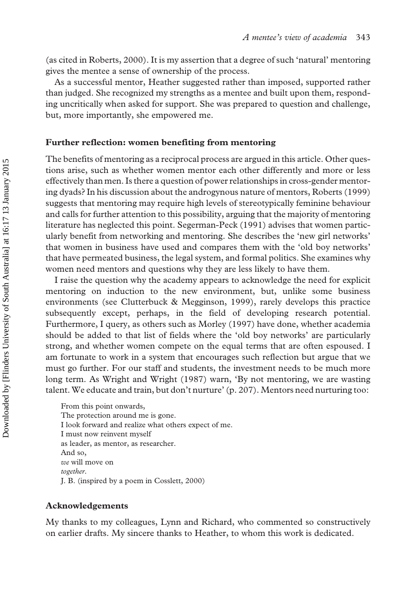(as cited in Roberts, 2000). It is my assertion that a degree of such 'natural' mentoring gives the mentee a sense of ownership of the process.

As a successful mentor, Heather suggested rather than imposed, supported rather than judged. She recognized my strengths as a mentee and built upon them, responding uncritically when asked for support. She was prepared to question and challenge, but, more importantly, she empowered me.

#### **Further reflection: women benefiting from mentoring**

The benefits of mentoring as a reciprocal process are argued in this article. Other questions arise, such as whether women mentor each other differently and more or less effectively than men. Is there a question of power relationships in cross-gender mentoring dyads? In his discussion about the androgynous nature of mentors, Roberts (1999) suggests that mentoring may require high levels of stereotypically feminine behaviour and calls for further attention to this possibility, arguing that the majority of mentoring literature has neglected this point. Segerman-Peck (1991) advises that women particularly benefit from networking and mentoring. She describes the 'new girl networks' that women in business have used and compares them with the 'old boy networks' that have permeated business, the legal system, and formal politics. She examines why women need mentors and questions why they are less likely to have them.

I raise the question why the academy appears to acknowledge the need for explicit mentoring on induction to the new environment, but, unlike some business environments (see Clutterbuck & Megginson, 1999), rarely develops this practice subsequently except, perhaps, in the field of developing research potential. Furthermore, I query, as others such as Morley (1997) have done, whether academia should be added to that list of fields where the 'old boy networks' are particularly strong, and whether women compete on the equal terms that are often espoused. I am fortunate to work in a system that encourages such reflection but argue that we must go further. For our staff and students, the investment needs to be much more long term. As Wright and Wright (1987) warn, 'By not mentoring, we are wasting talent. We educate and train, but don't nurture' (p. 207). Mentors need nurturing too:

From this point onwards, The protection around me is gone. I look forward and realize what others expect of me. I must now reinvent myself as leader, as mentor, as researcher. And so, *we* will move on *together*. J. B. (inspired by a poem in Cosslett, 2000)

#### **Acknowledgements**

My thanks to my colleagues, Lynn and Richard, who commented so constructively on earlier drafts. My sincere thanks to Heather, to whom this work is dedicated.